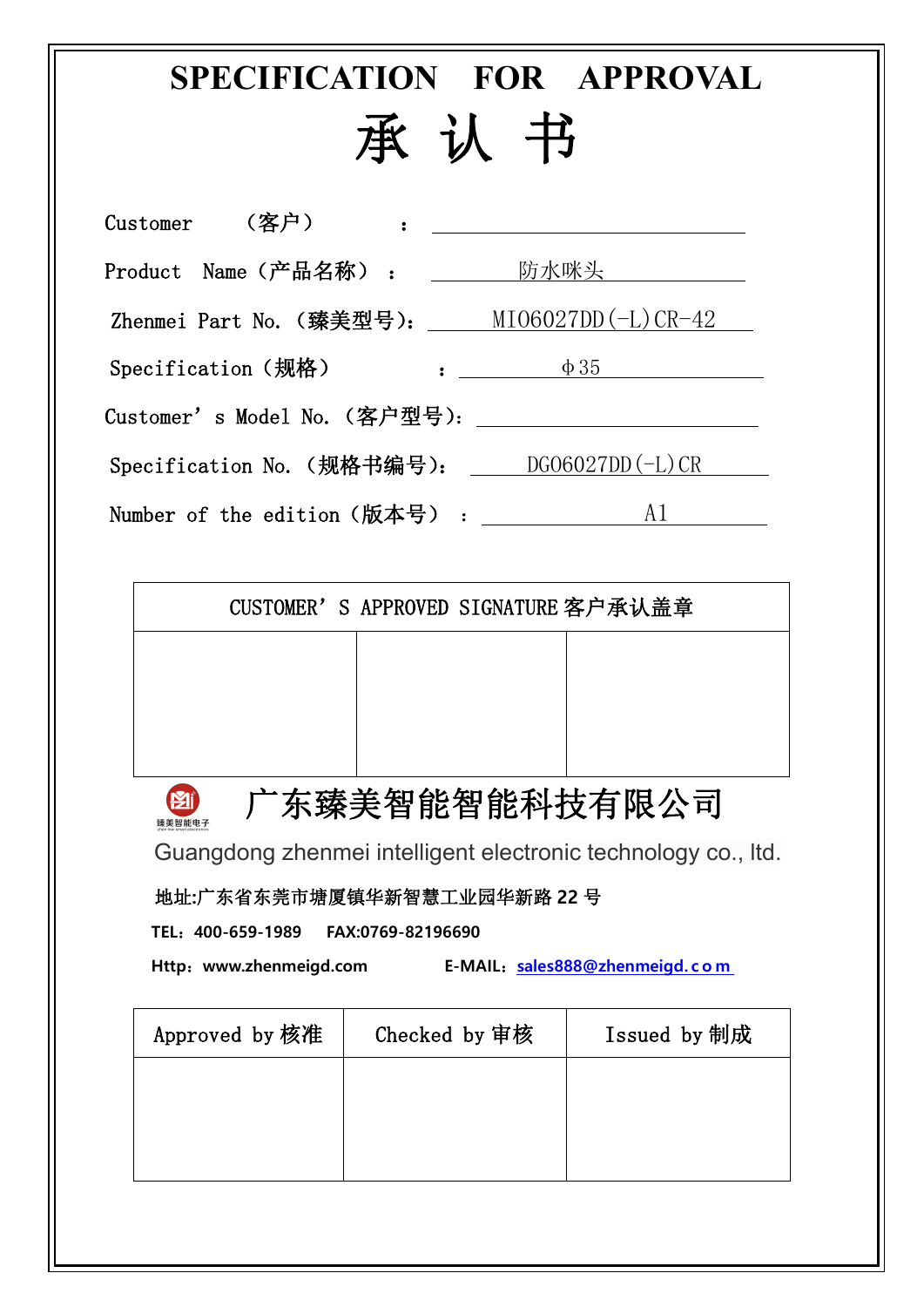# **SPECIFICATION FOR APPROVAL** 承 认 书

| Customer | (客户)                | $\ddot{\phantom{a}}$ , and the contract of the contract of the contract of the contract of the contract of the contract of the contract of the contract of the contract of the contract of the contract of the contract of the contrac |
|----------|---------------------|----------------------------------------------------------------------------------------------------------------------------------------------------------------------------------------------------------------------------------------|
|          | Product Name(产品名称): | 防水咪头 ___________                                                                                                                                                                                                                       |
|          |                     | Zhenmei Part No. (臻美型号): $\text{MIO6027DD}(-L) \text{CR-42}$                                                                                                                                                                           |
|          | Specification (规格)  | $\phi 35$                                                                                                                                                                                                                              |
|          |                     |                                                                                                                                                                                                                                        |
|          |                     | Specification No. (规格书编号): DG06027DD(-L)CR                                                                                                                                                                                             |
|          |                     | Number of the edition(版本号) :<br>A1                                                                                                                                                                                                     |

广东臻美智能智能科技有限公司

Guangdong zhenmei intelligent electronic technology co., ltd.

地址**:**广东省东莞市塘厦镇华新智慧工业园华新路 **22** 号

**TEL**:**400-659-1989 FAX:0769-82196690**

**Pil** 臻美智能电子

**Http**:**www.zhenmeigd.com E-MAIL**:**[sales888@zhenmeigd.](mailto:sales888@zhenmeigd.com) c o m**

| Approved by 核准 | Checked by 审核 | Issued by 制成 |  |
|----------------|---------------|--------------|--|
|                |               |              |  |
|                |               |              |  |
|                |               |              |  |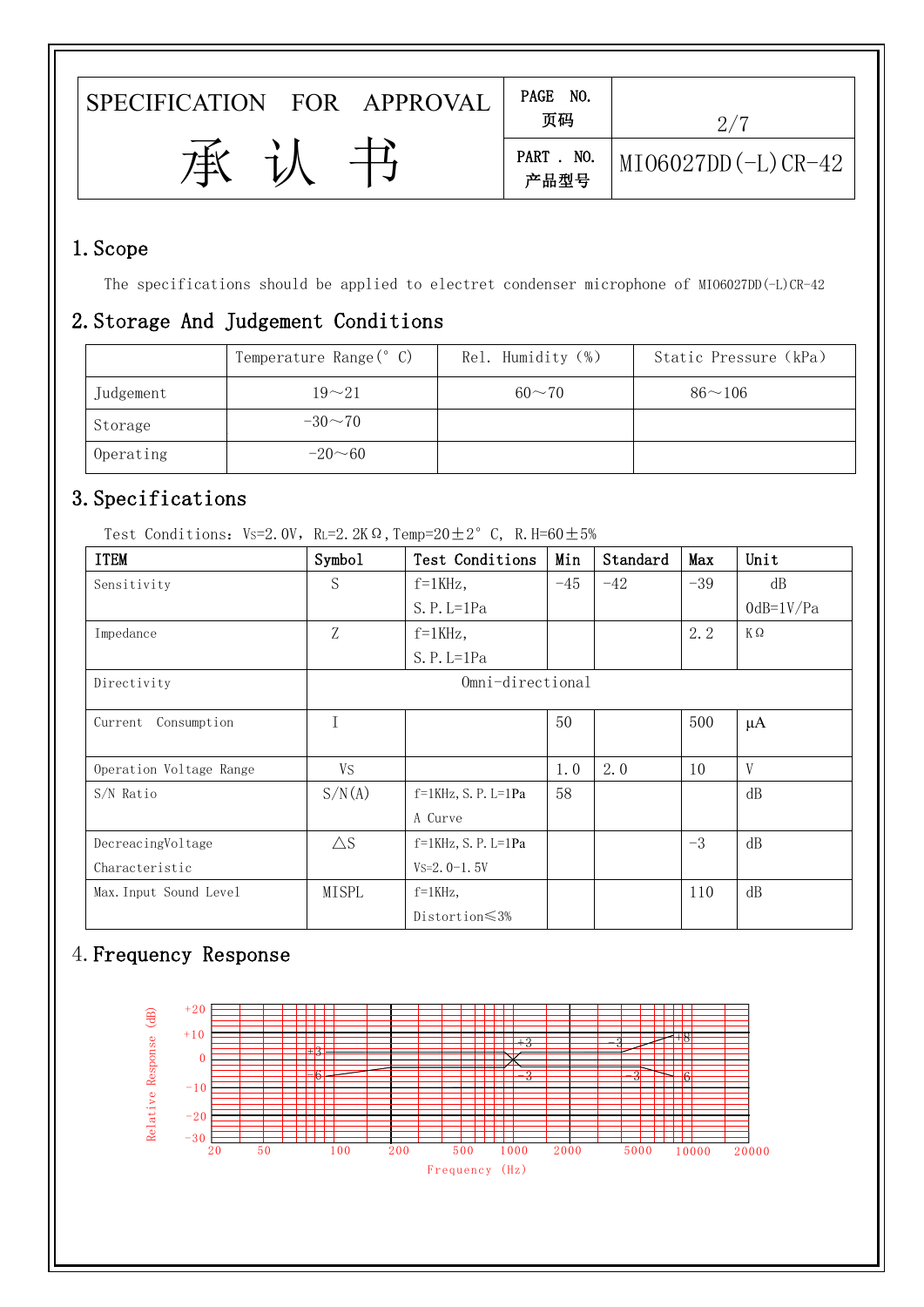| PAGE NO.<br>FOR APPROVAL<br>页码<br>. N0.<br>PART<br>フキイ<br>$MIO6027DD(-L)CR-42$<br>产品型号 |                      |  |
|----------------------------------------------------------------------------------------|----------------------|--|
|                                                                                        | <b>SPECIFICATION</b> |  |
|                                                                                        |                      |  |
|                                                                                        |                      |  |

#### 1.Scope

The specifications should be applied to electret condenser microphone of MIO6027DD(-L)CR-42

#### 2.Storage And Judgement Conditions

|           | Temperature Range(° C) | Rel. Humidity (%) | Static Pressure (kPa) |
|-----------|------------------------|-------------------|-----------------------|
| Judgement | $19 - 21$              | $60 - 70$         | $86 - 106$            |
| Storage   | $-30\sim 70$           |                   |                       |
| Operating | $-20 - 60$             |                   |                       |

### 3.Specifications

Test Conditions: Vs=2.0V, RL=2.2KΩ, Temp=20 $\pm$ 2°C, R.H=60 $\pm$ 5%

| <b>ITEM</b>             | Symbol        | Test Conditions           | Min   | Standard | Max   | Unit         |
|-------------------------|---------------|---------------------------|-------|----------|-------|--------------|
| Sensitivity             | S             | $f=1KHz$ ,                | $-45$ | $-42$    | $-39$ | dB           |
|                         |               | $S. P. L=1Pa$             |       |          |       | $0dB=1V/Pa$  |
| Impedance               | Z             | $f=1$ KHz,                |       |          | 2.2   | KΩ           |
|                         |               | $S. P. L=1Pa$             |       |          |       |              |
| Directivity             |               | Omni-directional          |       |          |       |              |
| Consumption<br>Current  |               |                           | 50    |          | 500   | $\mu A$      |
| Operation Voltage Range | <b>VS</b>     |                           | 1.0   | 2.0      | 10    | $\mathbf{V}$ |
| S/N Ratio               | S/N(A)        | $f=1$ KHz, S. P. L=1Pa    | 58    |          |       | dB           |
|                         |               | A Curve                   |       |          |       |              |
| DecreacingVoltage       | $\triangle$ S | $f=1$ KHz, S. P. L=1Pa    |       |          | $-3$  | dB           |
| Characteristic          |               | $Vs=2.0-1.5V$             |       |          |       |              |
| Max. Input Sound Level  | MISPL         | $f = 1$ KHz,              |       |          | 110   | dB           |
|                         |               | Distortion $\leqslant$ 3% |       |          |       |              |

## 4.Frequency Response

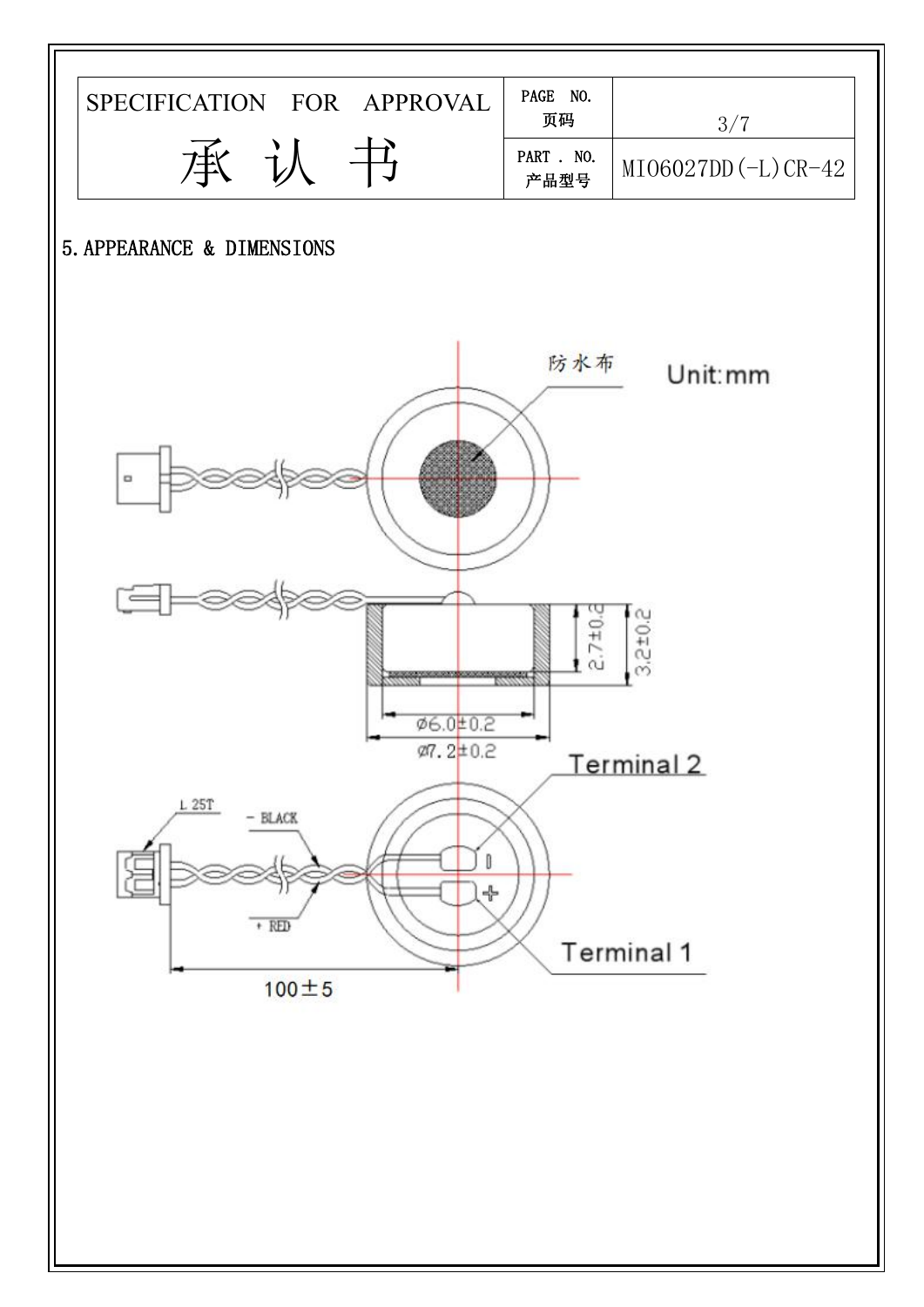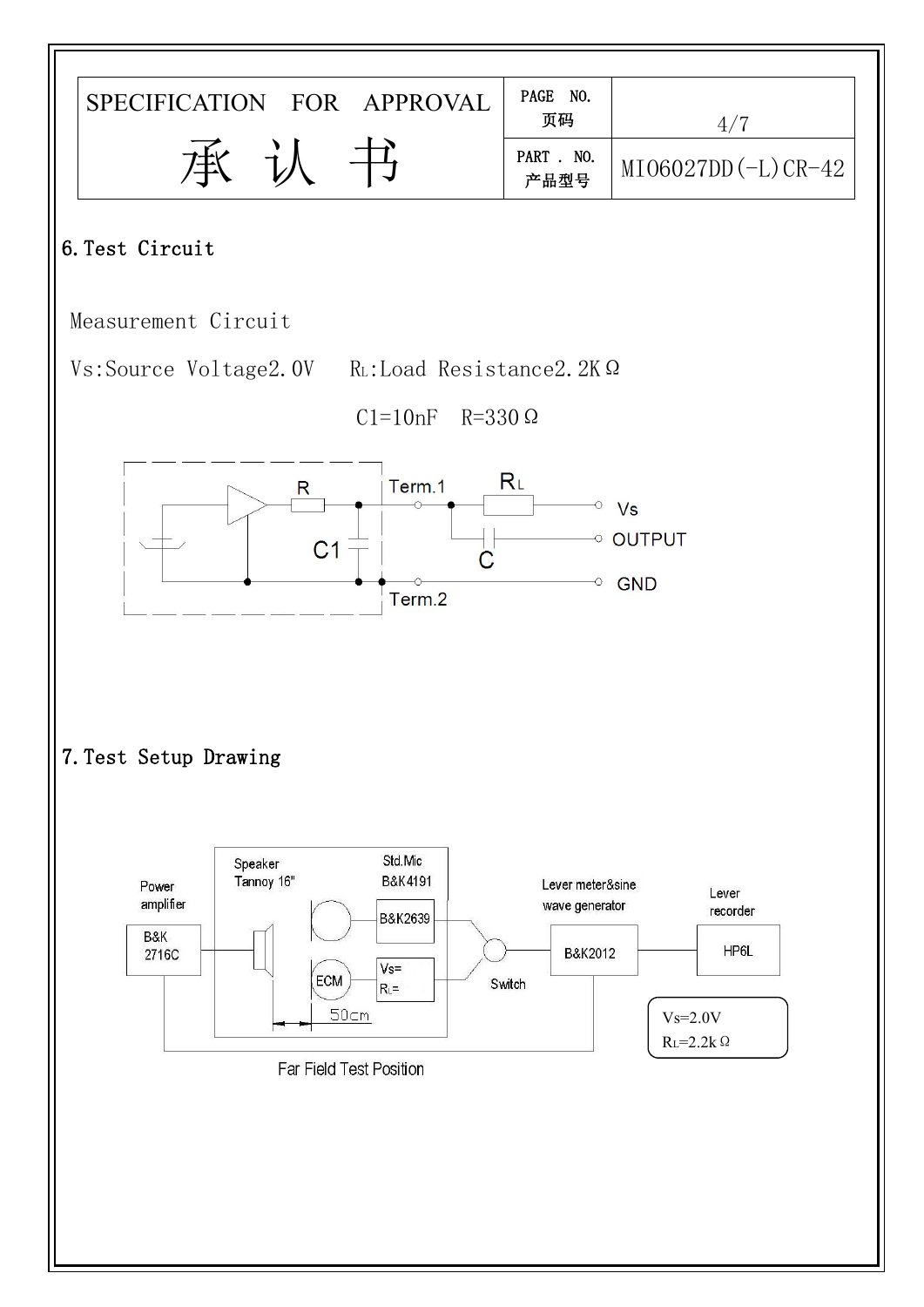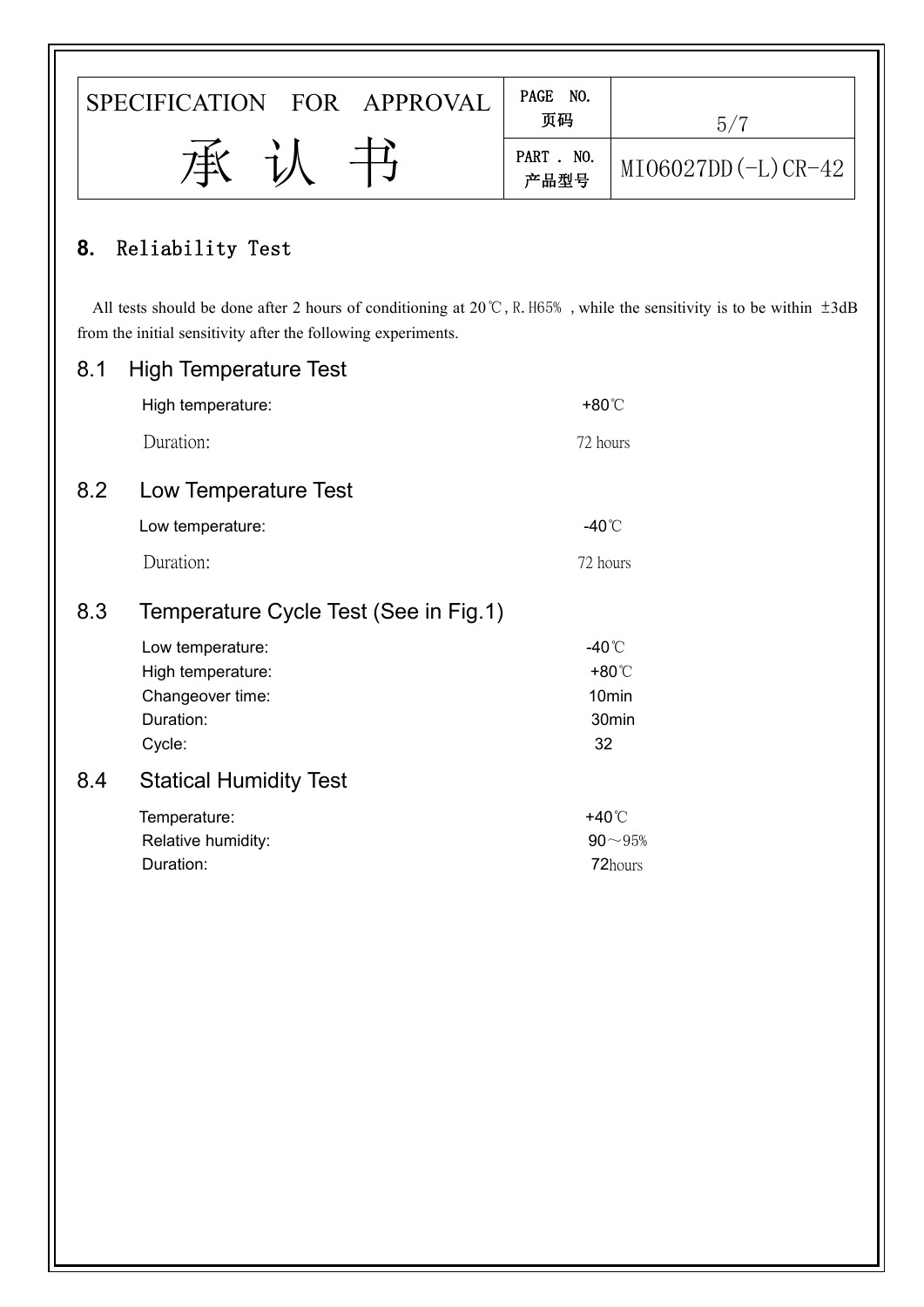|     | SPECIFICATION FOR APPROVAL                                    | PAGE NO.<br>页码     | $5/7$                                                                                                                               |
|-----|---------------------------------------------------------------|--------------------|-------------------------------------------------------------------------------------------------------------------------------------|
|     | 承                                                             | PART . NO.<br>产品型号 | MI06027DD(-L)CR-42                                                                                                                  |
| 8.  | Reliability Test                                              |                    |                                                                                                                                     |
|     | from the initial sensitivity after the following experiments. |                    | All tests should be done after 2 hours of conditioning at $20^{\circ}$ C, R. H65%, while the sensitivity is to be within $\pm 3$ dB |
| 8.1 | <b>High Temperature Test</b>                                  |                    |                                                                                                                                     |
|     | High temperature:                                             | +80°C              |                                                                                                                                     |
|     | Duration:                                                     | 72 hours           |                                                                                                                                     |
| 8.2 | Low Temperature Test                                          |                    |                                                                                                                                     |
|     | Low temperature:                                              | -40 $^{\circ}$ C   |                                                                                                                                     |
|     | Duration:                                                     | 72 hours           |                                                                                                                                     |
| 8.3 | Temperature Cycle Test (See in Fig.1)                         |                    |                                                                                                                                     |
|     | Low temperature:                                              | -40°C              |                                                                                                                                     |
|     | High temperature:                                             |                    | +80°C                                                                                                                               |
|     | Changeover time:<br>Duration:                                 |                    | 10 <sub>min</sub><br>30min                                                                                                          |
|     | Cycle:                                                        | 32                 |                                                                                                                                     |
| 8.4 | <b>Statical Humidity Test</b>                                 |                    |                                                                                                                                     |
|     | Temperature:                                                  | +40 $^{\circ}$ C   |                                                                                                                                     |
|     | Relative humidity:<br>Duration:                               |                    | $90\!\sim\!95\%$<br>72hours                                                                                                         |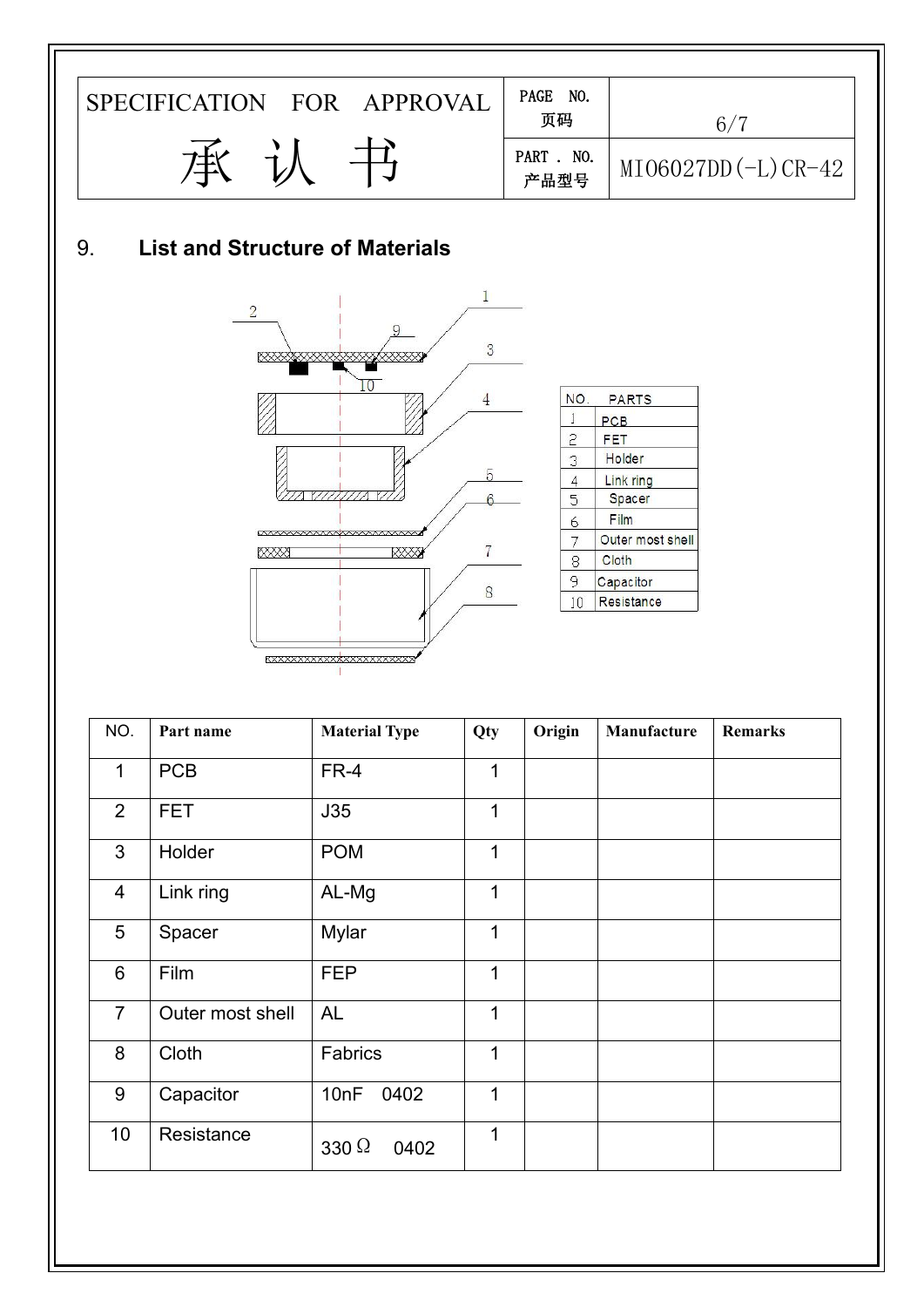